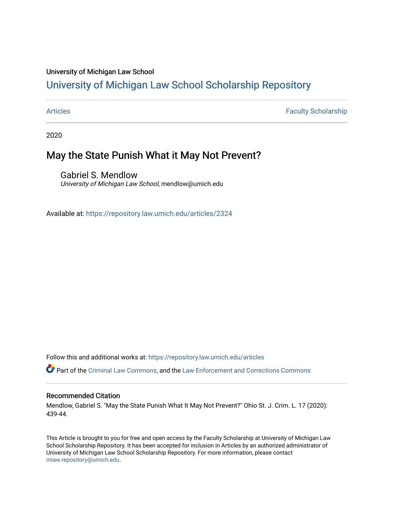#### University of Michigan Law School

# [University of Michigan Law School Scholarship Repository](https://repository.law.umich.edu/)

[Articles](https://repository.law.umich.edu/articles) **Faculty Scholarship** Faculty Scholarship

2020

## May the State Punish What it May Not Prevent?

Gabriel S. Mendlow University of Michigan Law School, mendlow@umich.edu

Available at: <https://repository.law.umich.edu/articles/2324>

Follow this and additional works at: [https://repository.law.umich.edu/articles](https://repository.law.umich.edu/articles?utm_source=repository.law.umich.edu%2Farticles%2F2324&utm_medium=PDF&utm_campaign=PDFCoverPages) 

Part of the [Criminal Law Commons,](http://network.bepress.com/hgg/discipline/912?utm_source=repository.law.umich.edu%2Farticles%2F2324&utm_medium=PDF&utm_campaign=PDFCoverPages) and the Law Enforcement and Corrections Commons

#### Recommended Citation

Mendlow, Gabriel S. "May the State Punish What It May Not Prevent?" Ohio St. J. Crim. L. 17 (2020): 439-44.

This Article is brought to you for free and open access by the Faculty Scholarship at University of Michigan Law School Scholarship Repository. It has been accepted for inclusion in Articles by an authorized administrator of University of Michigan Law School Scholarship Repository. For more information, please contact [mlaw.repository@umich.edu.](mailto:mlaw.repository@umich.edu)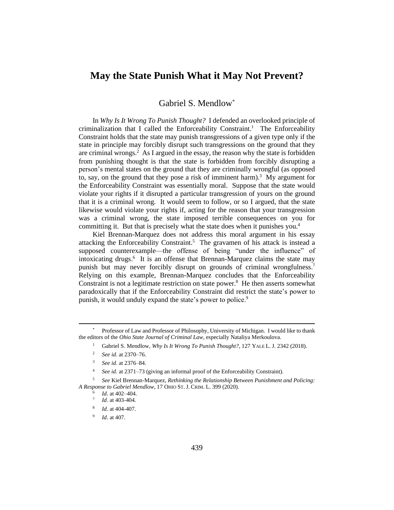### **May the State Punish What it May Not Prevent?**

<span id="page-1-11"></span>Gabriel S. Mendlow[\\*](#page-1-0)

In *Why Is It Wrong To Punish Thought?* I defended an overlooked principle of criminalization that I called the Enforceability Constraint.<sup>[1](#page-1-1)</sup> The Enforceability Constraint holds that the state may punish transgressions of a given type only if the state in principle may forcibly disrupt such transgressions on the ground that they are criminal wrongs. [2](#page-1-2) As I argued in the essay, the reason why the state is forbidden from punishing thought is that the state is forbidden from forcibly disrupting a person's mental states on the ground that they are criminally wrongful (as opposed to, say, on the ground that they pose a risk of imminent harm).<sup>[3](#page-1-3)</sup> My argument for the Enforceability Constraint was essentially moral. Suppose that the state would violate your rights if it disrupted a particular transgression of yours on the ground that it is a criminal wrong. It would seem to follow, or so I argued, that the state likewise would violate your rights if, acting for the reason that your transgression was a criminal wrong, the state imposed terrible consequences on you for committing it. But that is precisely what the state does when it punishes you. [4](#page-1-4)

<span id="page-1-10"></span>Kiel Brennan-Marquez does not address this moral argument in his essay attacking the Enforceability Constraint. [5](#page-1-5) The gravamen of his attack is instead a supposed counterexample—the offense of being "under the influence" of intoxicating drugs. [6](#page-1-6) It is an offense that Brennan-Marquez claims the state may punish but may never forcibly disrupt on grounds of criminal wrongfulness.<sup>[7](#page-1-7)</sup> Relying on this example, Brennan-Marquez concludes that the Enforceability Constraint is not a legitimate restriction on state power.<sup>[8](#page-1-8)</sup> He then asserts somewhat paradoxically that if the Enforceability Constraint did restrict the state's power to punish, it would unduly expand the state's power to police.<sup>[9](#page-1-9)</sup>

<span id="page-1-1"></span><span id="page-1-0"></span>Professor of Law and Professor of Philosophy, University of Michigan. I would like to thank the editors of the *Ohio State Journal of Criminal Law*, especially Nataliya Merkoulova.

<sup>1</sup> Gabriel S. Mendlow, *Why Is It Wrong To Punish Thought?*, 127 YALE L. J. 2342 (2018).

<sup>2</sup> *See id*. at 2370–76.

<sup>3</sup> *See id*. at 2376–84.

<sup>4</sup> *See id*. at 2371–73 (giving an informal proof of the Enforceability Constraint).

<span id="page-1-9"></span><span id="page-1-8"></span><span id="page-1-7"></span><span id="page-1-6"></span><span id="page-1-5"></span><span id="page-1-4"></span><span id="page-1-3"></span><span id="page-1-2"></span><sup>5</sup> *See* Kiel Brennan-Marquez, *Rethinking the Relationship Between Punishment and Policing: A Response to Gabriel Mendlow*, 17 OHIO ST. J. CRIM. L. 399 (2020).

<sup>6</sup> *Id*. at 402–404.

<sup>7</sup> *Id*. at 403-404.

<sup>8</sup> *Id*. at 404-407.

<sup>9</sup> *Id*. at 407.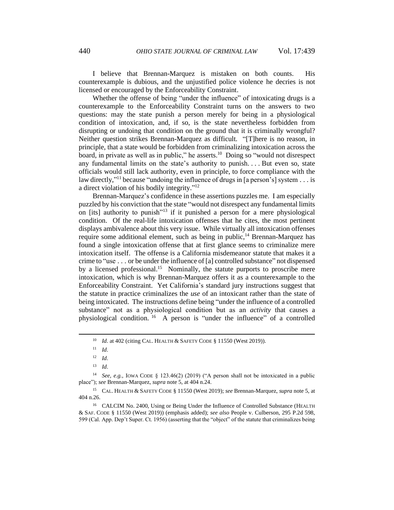I believe that Brennan-Marquez is mistaken on both counts. His counterexample is dubious, and the unjustified police violence he decries is not licensed or encouraged by the Enforceability Constraint.

Whether the offense of being "under the influence" of intoxicating drugs is a counterexample to the Enforceability Constraint turns on the answers to two questions: may the state punish a person merely for being in a physiological condition of intoxication, and, if so, is the state nevertheless forbidden from disrupting or undoing that condition on the ground that it is criminally wrongful? Neither question strikes Brennan-Marquez as difficult. "[T]here is no reason, in principle, that a state would be forbidden from criminalizing intoxication across the board, in private as well as in public," he asserts. [10](#page-2-0) Doing so "would not disrespect any fundamental limits on the state's authority to punish. . . . But even so, state officials would still lack authority, even in principle, to force compliance with the law directly,"<sup>[11](#page-2-1)</sup> because "undoing the influence of drugs in [a person's] system  $\dots$  is a direct violation of his bodily integrity."<sup>[12](#page-2-2)</sup>

Brennan-Marquez's confidence in these assertions puzzles me. I am especially puzzled by his conviction that the state "would not disrespect any fundamental limits on [its] authority to punish<sup>"[13](#page-2-3)</sup> if it punished a person for a mere physiological condition. Of the real-life intoxication offenses that he cites, the most pertinent displays ambivalence about this very issue. While virtually all intoxication offenses require some additional element, such as being in public, $14$  Brennan-Marquez has found a single intoxication offense that at first glance seems to criminalize mere intoxication itself. The offense is a California misdemeanor statute that makes it a crime to "use . . . or be under the influence of [a] controlled substance" not dispensed by a licensed professional.<sup>[15](#page-2-5)</sup> Nominally, the statute purports to proscribe mere intoxication, which is why Brennan-Marquez offers it as a counterexample to the Enforceability Constraint. Yet California's standard jury instructions suggest that the statute in practice criminalizes the *use* of an intoxicant rather than the state of being intoxicated. The instructions define being "under the influence of a controlled substance" not as a physiological condition but as an *activity* that causes a physiological condition. [16](#page-2-6) A person is "under the influence" of a controlled

<sup>&</sup>lt;sup>10</sup> *Id.* at 402 (citing CAL. HEALTH & SAFETY CODE § 11550 (West 2019)).

<sup>11</sup> *Id*.

<sup>12</sup> *Id*.

<sup>13</sup> *Id*.

<span id="page-2-4"></span><span id="page-2-3"></span><span id="page-2-2"></span><span id="page-2-1"></span><span id="page-2-0"></span><sup>14</sup> *See, e.g.*, IOWA CODE § 123.46(2) (2019) ("A person shall not be intoxicated in a public place"); *see* Brennan-Marquez, *supra* not[e 5,](#page-1-10) at 404 n.24.

<span id="page-2-5"></span><sup>15</sup> CAL. HEALTH & SAFETY CODE § 11550 (West 2019); *see* Brennan-Marquez, *supra* not[e 5,](#page-1-10) at 404 n.26.

<span id="page-2-6"></span><sup>&</sup>lt;sup>16</sup> CALCIM No. 2400, Using or Being Under the Influence of Controlled Substance (HEALTH & SAF. CODE § 11550 (West 2019)) (emphasis added); *see also* People v. Culberson, 295 P.2d 598, 599 (Cal. App. Dep't Super. Ct. 1956) (asserting that the "object" of the statute that criminalizes being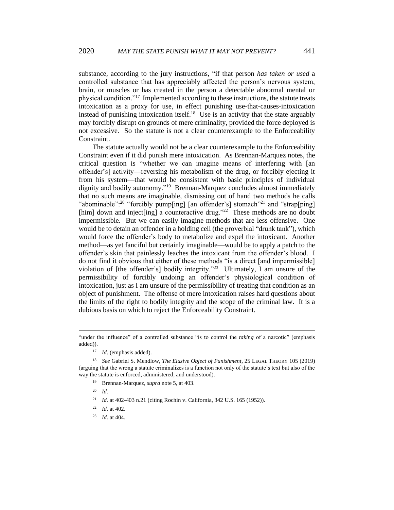substance, according to the jury instructions, "if that person *has taken or used* a controlled substance that has appreciably affected the person's nervous system, brain, or muscles or has created in the person a detectable abnormal mental or physical condition."[17](#page-3-0) Implemented according to these instructions, the statute treats intoxication as a proxy for use, in effect punishing use-that-causes-intoxication instead of punishing intoxication itself. [18](#page-3-1) Use is an activity that the state arguably may forcibly disrupt on grounds of mere criminality, provided the force deployed is not excessive. So the statute is not a clear counterexample to the Enforceability Constraint.

The statute actually would not be a clear counterexample to the Enforceability Constraint even if it did punish mere intoxication. As Brennan-Marquez notes, the critical question is "whether we can imagine means of interfering with [an offender's] activity—reversing his metabolism of the drug, or forcibly ejecting it from his system—that would be consistent with basic principles of individual dignity and bodily autonomy."<sup>[19](#page-3-2)</sup> Brennan-Marquez concludes almost immediately that no such means are imaginable, dismissing out of hand two methods he calls "abominable":<sup>[20](#page-3-3)</sup> "forcibly pump[ing] [an offender's] stomach"<sup>[21](#page-3-4)</sup> and "strap[ping] [him] down and inject[ing] a counteractive drug."<sup>[22](#page-3-5)</sup> These methods are no doubt impermissible. But we can easily imagine methods that are less offensive. One would be to detain an offender in a holding cell (the proverbial "drunk tank"), which would force the offender's body to metabolize and expel the intoxicant. Another method—as yet fanciful but certainly imaginable—would be to apply a patch to the offender's skin that painlessly leaches the intoxicant from the offender's blood. I do not find it obvious that either of these methods "is a direct [and impermissible] violation of [the offender's] bodily integrity."[23](#page-3-6) Ultimately, I am unsure of the permissibility of forcibly undoing an offender's physiological condition of intoxication, just as I am unsure of the permissibility of treating that condition as an object of punishment. The offense of mere intoxication raises hard questions about the limits of the right to bodily integrity and the scope of the criminal law. It is a dubious basis on which to reject the Enforceability Constraint.

<sup>23</sup> *Id.* at 404.

<sup>&</sup>quot;under the influence" of a controlled substance "is to control the *taking* of a narcotic" (emphasis added)).

<sup>17</sup> *Id*. (emphasis added).

<span id="page-3-4"></span><span id="page-3-3"></span><span id="page-3-2"></span><span id="page-3-1"></span><span id="page-3-0"></span><sup>18</sup> *See* Gabriel S. Mendlow, *The Elusive Object of Punishment*, 25 LEGAL THEORY 105 (2019) (arguing that the wrong a statute criminalizes is a function not only of the statute's text but also of the way the statute is enforced, administered, and understood).

<sup>19</sup> Brennan-Marquez, *supra* note [5,](#page-1-10) at 403.

<sup>20</sup> *Id.* 

<sup>&</sup>lt;sup>21</sup> *Id.* at 402-403 n.21 (citing Rochin v. California, 342 U.S. 165 (1952)).

<span id="page-3-6"></span><span id="page-3-5"></span><sup>22</sup> *Id.* at 402.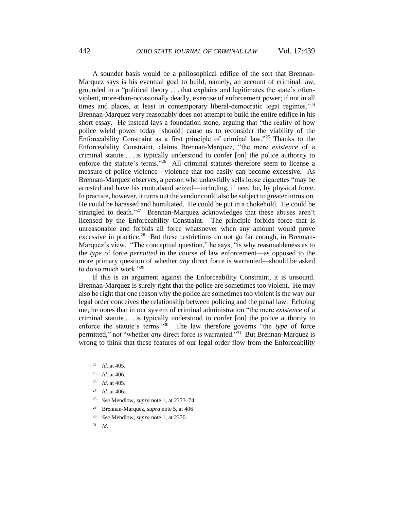A sounder basis would be a philosophical edifice of the sort that Brennan-Marquez says is his eventual goal to build, namely, an account of criminal law, grounded in a "political theory . . . that explains and legitimates the state's oftenviolent, more-than-occasionally deadly, exercise of enforcement power; if not in all times and places, at least in contemporary liberal-democratic legal regimes."<sup>[24](#page-4-0)</sup> Brennan-Marquez very reasonably does not attempt to build the entire edifice in his short essay. He instead lays a foundation stone, arguing that "the reality of how police wield power today [should] cause us to reconsider the viability of the Enforceability Constraint as a first principle of criminal law."[25](#page-4-1) Thanks to the Enforceability Constraint, claims Brennan-Marquez, "the mere *existence* of a criminal statute . . . is typically understood to confer [on] the police authority to enforce the statute's terms." [26](#page-4-2) All criminal statutes therefore seem to license a measure of police violence—violence that too easily can become excessive. As Brennan-Marquez observes, a person who unlawfully sells loose cigarettes "may be arrested and have his contraband seized—including, if need be, by physical force. In practice, however, it turns out the vendor could also be subject to greater intrusion. He could be harassed and humiliated. He could be put in a chokehold. He could be strangled to death."<sup>[27](#page-4-3)</sup> Brennan-Marquez acknowledges that these abuses aren't licensed by the Enforceability Constraint. The principle forbids force that is unreasonable and forbids all force whatsoever when any amount would prove excessive in practice.<sup>[28](#page-4-4)</sup> But these restrictions do not go far enough, in Brennan-Marquez's view. "The conceptual question," he says, "is why reasonableness as to the *type* of force *permitted* in the course of law enforcement—as opposed to the more primary question of whether *any* direct force is warranted—should be asked to do so much work."[29](#page-4-5)

If this is an argument against the Enforceability Constraint, it is unsound. Brennan-Marquez is surely right that the police are sometimes too violent. He may also be right that one reason why the police are sometimes too violent is the way our legal order conceives the relationship between policing and the penal law. Echoing me, he notes that in our system of criminal administration "the mere *existence* of a criminal statute . . . is typically understood to confer [on] the police authority to enforce the statute's terms." [30](#page-4-6) The law therefore governs "the *type* of force permitted," not "whether *any* direct force is warranted."[31](#page-4-7) But Brennan-Marquez is wrong to think that these features of our legal order flow from the Enforceability

- <span id="page-4-6"></span><span id="page-4-5"></span><span id="page-4-4"></span><sup>29</sup> Brennan-Marquez, *supra* note [5,](#page-1-10) at 406.
- <sup>30</sup> *See* Mendlow, *supra* not[e 1,](#page-1-11) at 2370.
- <span id="page-4-7"></span><sup>31</sup> *Id*.

<sup>24</sup> *Id.* at 405.

<span id="page-4-1"></span><span id="page-4-0"></span><sup>25</sup> *Id.* at 406.

<span id="page-4-2"></span><sup>26</sup> *Id*. at 405.

<span id="page-4-3"></span><sup>27</sup> *Id.* at 406.

<sup>28</sup> *See* Mendlow, *supra* not[e 1,](#page-1-11) at 2373–74.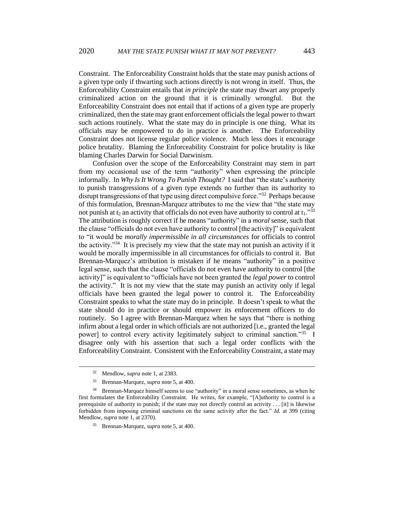Constraint. The Enforceability Constraint holds that the state may punish actions of a given type only if thwarting such actions directly is not wrong in itself. Thus, the Enforceability Constraint entails that *in principle* the state may thwart any properly criminalized action on the ground that it is criminally wrongful. But the Enforceability Constraint does not entail that if actions of a given type are properly criminalized, then the state may grant enforcement officials the legal power to thwart such actions routinely. What the state may do in principle is one thing. What its officials may be empowered to do in practice is another. The Enforceability Constraint does not license regular police violence. Much less does it encourage police brutality. Blaming the Enforceability Constraint for police brutality is like blaming Charles Darwin for Social Darwinism.

Confusion over the scope of the Enforceability Constraint may stem in part from my occasional use of the term "authority" when expressing the principle informally. In *Why Is It Wrong To Punish Thought?* I said that "the state's authority to punish transgressions of a given type extends no further than its authority to disrupt transgressions of that type using direct compulsive force."[32](#page-5-0) Perhaps because of this formulation, Brennan-Marquez attributes to me the view that "the state may not punish at  $t_2$  an activity that officials do not even have authority to control at  $t_1$ ."<sup>[33](#page-5-1)</sup> The attribution is roughly correct if he means "authority" in a *moral* sense, such that the clause "officials do not even have authority to control [the activity]" is equivalent to "it would be *morally impermissible in all circumstances* for officials to control the activity."[34](#page-5-2) It is precisely my view that the state may not punish an activity if it would be morally impermissible in all circumstances for officials to control it. But Brennan-Marquez's attribution is mistaken if he means "authority" in a positive legal sense, such that the clause "officials do not even have authority to control [the activity]" is equivalent to "officials have not been granted the *legal power* to control the activity." It is not my view that the state may punish an activity only if legal officials have been granted the legal power to control it. The Enforceability Constraint speaks to what the state may do in principle. It doesn't speak to what the state should do in practice or should empower its enforcement officers to do routinely. So I agree with Brennan-Marquez when he says that "there is nothing infirm about a legal order in which officials are not authorized [i.e., granted the legal power] to control every activity legitimately subject to criminal sanction."[35](#page-5-3) I disagree only with his assertion that such a legal order conflicts with the Enforceability Constraint. Consistent with the Enforceability Constraint, a state may

<sup>32</sup> Mendlow, *supra* note [1,](#page-1-11) at 2383.

<sup>33</sup> Brennan-Marquez, *supra* note [5,](#page-1-10) at 400.

<span id="page-5-3"></span><span id="page-5-2"></span><span id="page-5-1"></span><span id="page-5-0"></span><sup>&</sup>lt;sup>34</sup> Brennan-Marquez himself seems to use "authority" in a moral sense sometimes, as when he first formulates the Enforceability Constraint. He writes, for example, "[A]uthority to control is a prerequisite of authority to punish; if the state may not directly control an activity . . . [it] is likewise forbidden from imposing criminal sanctions on the same activity after the fact." *Id.* at 399 (citing Mendlow, *supra* note 1, at 2370).

<sup>35</sup> Brennan-Marquez, *supra* note 5, at 400.